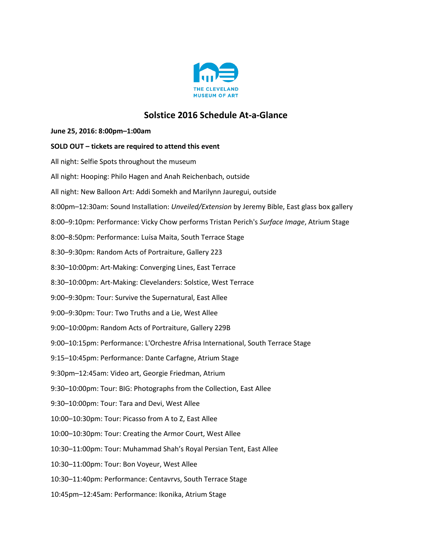

## **Solstice 2016 Schedule At-a-Glance**

## **June 25, 2016: 8:00pm–1:00am**

| SOLD OUT - tickets are required to attend this event                                           |
|------------------------------------------------------------------------------------------------|
| All night: Selfie Spots throughout the museum                                                  |
| All night: Hooping: Philo Hagen and Anah Reichenbach, outside                                  |
| All night: New Balloon Art: Addi Somekh and Marilynn Jauregui, outside                         |
| 8:00pm-12:30am: Sound Installation: Unveiled/Extension by Jeremy Bible, East glass box gallery |
| 8:00-9:10pm: Performance: Vicky Chow performs Tristan Perich's Surface Image, Atrium Stage     |
| 8:00-8:50pm: Performance: Luísa Maita, South Terrace Stage                                     |
| 8:30-9:30pm: Random Acts of Portraiture, Gallery 223                                           |
| 8:30-10:00pm: Art-Making: Converging Lines, East Terrace                                       |
| 8:30-10:00pm: Art-Making: Clevelanders: Solstice, West Terrace                                 |
| 9:00-9:30pm: Tour: Survive the Supernatural, East Allee                                        |
| 9:00-9:30pm: Tour: Two Truths and a Lie, West Allee                                            |
| 9:00-10:00pm: Random Acts of Portraiture, Gallery 229B                                         |
| 9:00-10:15pm: Performance: L'Orchestre Afrisa International, South Terrace Stage               |
| 9:15-10:45pm: Performance: Dante Carfagne, Atrium Stage                                        |
| 9:30pm-12:45am: Video art, Georgie Friedman, Atrium                                            |
| 9:30-10:00pm: Tour: BIG: Photographs from the Collection, East Allee                           |
| 9:30-10:00pm: Tour: Tara and Devi, West Allee                                                  |
| 10:00-10:30pm: Tour: Picasso from A to Z, East Allee                                           |
| 10:00-10:30pm: Tour: Creating the Armor Court, West Allee                                      |
| 10:30-11:00pm: Tour: Muhammad Shah's Royal Persian Tent, East Allee                            |
| 10:30-11:00pm: Tour: Bon Voyeur, West Allee                                                    |
| 10:30-11:40pm: Performance: Centavrvs, South Terrace Stage                                     |
| 10:45pm-12:45am: Performance: Ikonika, Atrium Stage                                            |